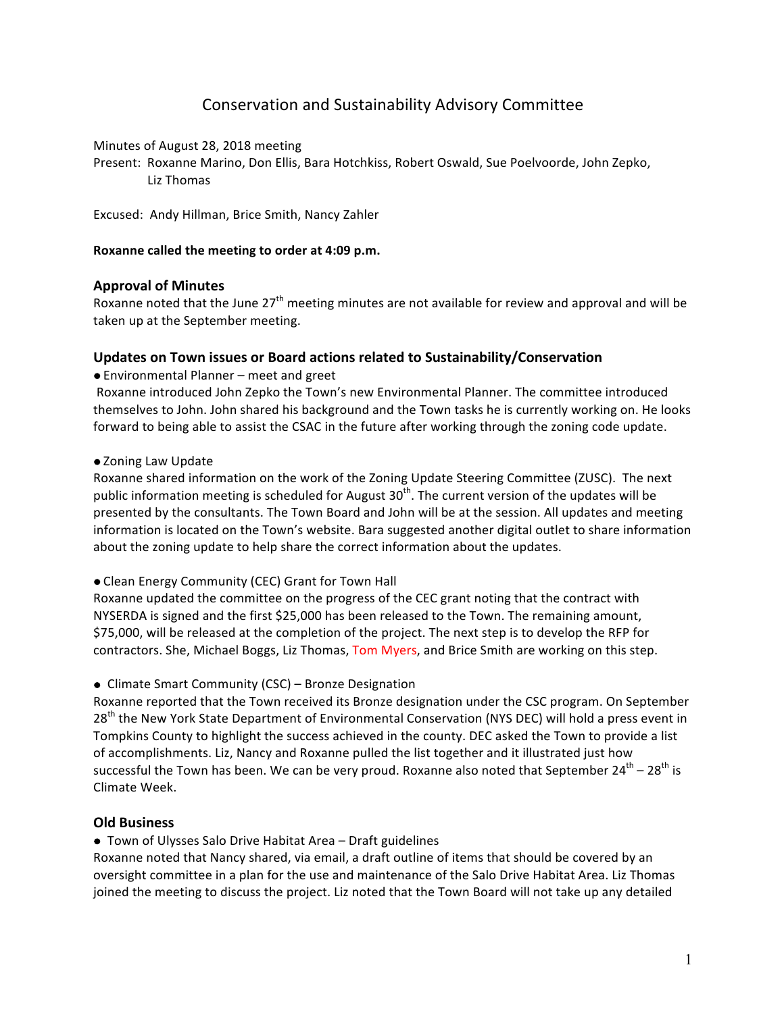# Conservation and Sustainability Advisory Committee

Minutes of August 28, 2018 meeting

Present: Roxanne Marino, Don Ellis, Bara Hotchkiss, Robert Oswald, Sue Poelvoorde, John Zepko, Liz Thomas

Excused: Andy Hillman, Brice Smith, Nancy Zahler

## Roxanne called the meeting to order at 4:09 p.m.

## **Approval of Minutes**

Roxanne noted that the June  $27<sup>th</sup>$  meeting minutes are not available for review and approval and will be taken up at the September meeting.

## **Updates on Town issues or Board actions related to Sustainability/Conservation**

● Environmental Planner – meet and greet

Roxanne introduced John Zepko the Town's new Environmental Planner. The committee introduced themselves to John. John shared his background and the Town tasks he is currently working on. He looks forward to being able to assist the CSAC in the future after working through the zoning code update.

#### • Zoning Law Update

Roxanne shared information on the work of the Zoning Update Steering Committee (ZUSC). The next public information meeting is scheduled for August  $30<sup>th</sup>$ . The current version of the updates will be presented by the consultants. The Town Board and John will be at the session. All updates and meeting information is located on the Town's website. Bara suggested another digital outlet to share information about the zoning update to help share the correct information about the updates.

#### • Clean Energy Community (CEC) Grant for Town Hall

Roxanne updated the committee on the progress of the CEC grant noting that the contract with NYSERDA is signed and the first \$25,000 has been released to the Town. The remaining amount, \$75,000, will be released at the completion of the project. The next step is to develop the RFP for contractors. She, Michael Boggs, Liz Thomas, Tom Myers, and Brice Smith are working on this step.

● Climate Smart Community (CSC) – Bronze Designation

Roxanne reported that the Town received its Bronze designation under the CSC program. On September 28<sup>th</sup> the New York State Department of Environmental Conservation (NYS DEC) will hold a press event in Tompkins County to highlight the success achieved in the county. DEC asked the Town to provide a list of accomplishments. Liz, Nancy and Roxanne pulled the list together and it illustrated just how successful the Town has been. We can be very proud. Roxanne also noted that September  $24^{th} - 28^{th}$  is Climate Week.

## **Old Business**

● Town of Ulysses Salo Drive Habitat Area – Draft guidelines

Roxanne noted that Nancy shared, via email, a draft outline of items that should be covered by an oversight committee in a plan for the use and maintenance of the Salo Drive Habitat Area. Liz Thomas joined the meeting to discuss the project. Liz noted that the Town Board will not take up any detailed